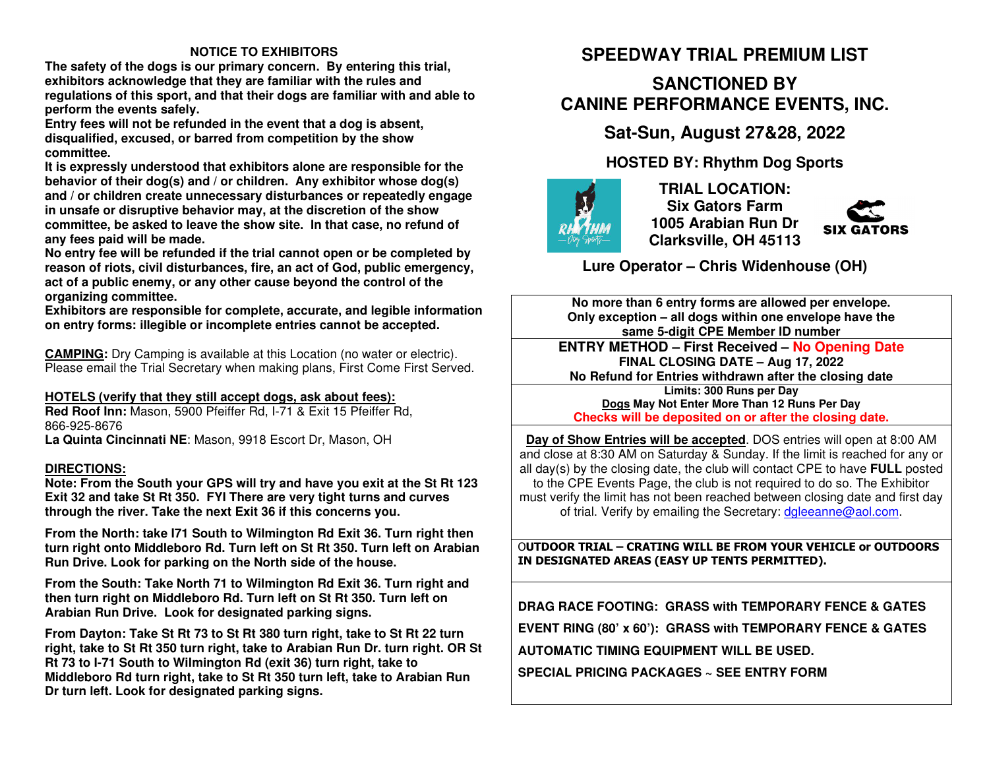#### **NOTICE TO EXHIBITORS**

 **The safety of the dogs is our primary concern. By entering this trial, exhibitors acknowledge that they are familiar with the rules and regulations of this sport, and that their dogs are familiar with and able to perform the events safely.** 

 **Entry fees will not be refunded in the event that a dog is absent, disqualified, excused, or barred from competition by the show committee.** 

 **It is expressly understood that exhibitors alone are responsible for the behavior of their dog(s) and / or children. Any exhibitor whose dog(s) and / or children create unnecessary disturbances or repeatedly engage in unsafe or disruptive behavior may, at the discretion of the show committee, be asked to leave the show site. In that case, no refund of any fees paid will be made.** 

 **No entry fee will be refunded if the trial cannot open or be completed by reason of riots, civil disturbances, fire, an act of God, public emergency, act of a public enemy, or any other cause beyond the control of the organizing committee.** 

 **Exhibitors are responsible for complete, accurate, and legible information on entry forms: illegible or incomplete entries cannot be accepted.** 

**CAMPING:** Dry Camping is available at this Location (no water or electric). Please email the Trial Secretary when making plans, First Come First Served.

### **HOTELS (verify that they still accept dogs, ask about fees):**

 **Red Roof Inn:** Mason, 5900 Pfeiffer Rd, I-71 & Exit 15 Pfeiffer Rd, 866-925-8676**La Quinta Cincinnati NE**: Mason, 9918 Escort Dr, Mason, OH

#### **DIRECTIONS:**

 **Note: From the South your GPS will try and have you exit at the St Rt 123 Exit 32 and take St Rt 350. FYI There are very tight turns and curves through the river. Take the next Exit 36 if this concerns you.** 

**From the North: take I71 South to Wilmington Rd Exit 36. Turn right then turn right onto Middleboro Rd. Turn left on St Rt 350. Turn left on Arabian Run Drive. Look for parking on the North side of the house.** 

**From the South: Take North 71 to Wilmington Rd Exit 36. Turn right and then turn right on Middleboro Rd. Turn left on St Rt 350. Turn left on Arabian Run Drive. Look for designated parking signs.** 

**From Dayton: Take St Rt 73 to St Rt 380 turn right, take to St Rt 22 turn right, take to St Rt 350 turn right, take to Arabian Run Dr. turn right. OR St Rt 73 to I-71 South to Wilmington Rd (exit 36) turn right, take to Middleboro Rd turn right, take to St Rt 350 turn left, take to Arabian Run Dr turn left. Look for designated parking signs.** 

## **SPEEDWAY TRIAL PREMIUM LIST**

## **SANCTIONED BY CANINE PERFORMANCE EVENTS, INC.**

### **Sat-Sun, August 27&28, 2022**

### **HOSTED BY: Rhythm Dog Sports**



**TRIAL LOCATION: Six Gators Farm 1005 Arabian Run Dr Clarksville, OH 45113** 



**Lure Operator – Chris Widenhouse (OH)** 

**No more than 6 entry forms are allowed per envelope. Only exception – all dogs within one envelope have the same 5-digit CPE Member ID number ENTRY METHOD – First Received – No Opening DateFINAL CLOSING DATE – Aug 17, 2022** 

**No Refund for Entries withdrawn after the closing date**

**Limits: 300 Runs per Day Dogs May Not Enter More Than 12 Runs Per Day Checks will be deposited on or after the closing date.**

**Day of Show Entries will be accepted**. DOS entries will open at 8:00 AM and close at 8:30 AM on Saturday & Sunday. If the limit is reached for any or all day(s) by the closing date, the club will contact CPE to have **FULL** posted to the CPE Events Page, the club is not required to do so. The Exhibitor must verify the limit has not been reached between closing date and first day of trial. Verify by emailing the Secretary: dgleeanne@aol.com.

O**UTDOOR TRIAL – CRATING WILL BE FROM YOUR VEHICLE or OUTDOORS IN DESIGNATED AREAS (EASY UP TENTS PERMITTED).** 

**DRAG RACE FOOTING: GRASS with TEMPORARY FENCE & GATES EVENT RING (80' x 60'): GRASS with TEMPORARY FENCE & GATES AUTOMATIC TIMING EQUIPMENT WILL BE USED. SPECIAL PRICING PACKAGES ~ SEE ENTRY FORM**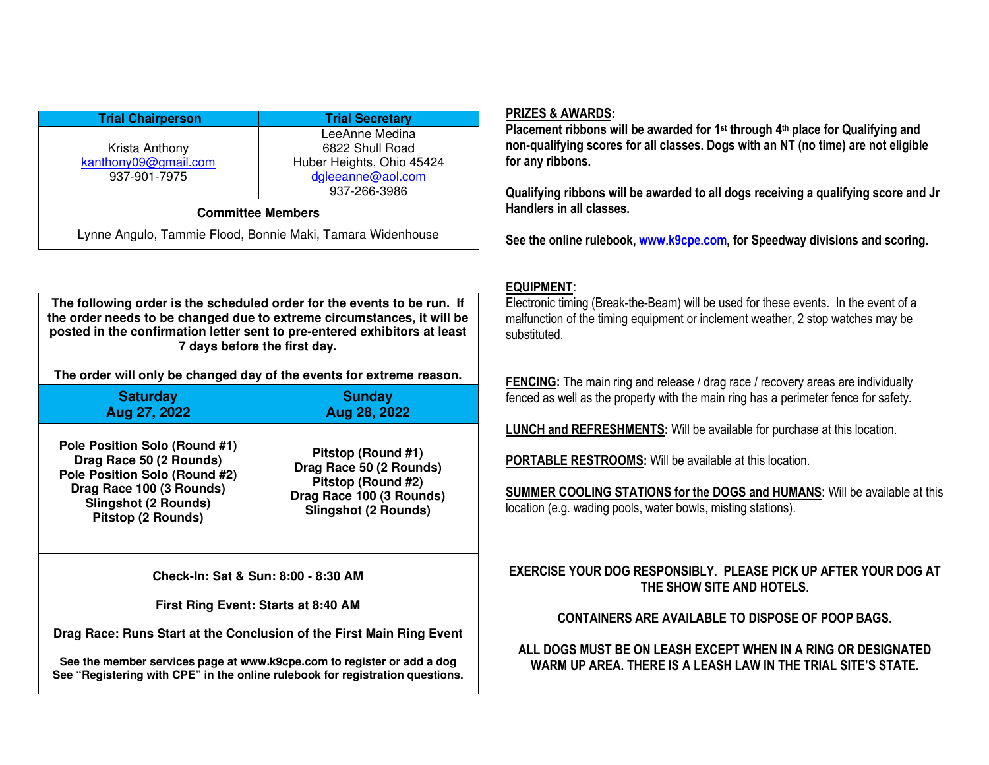| <b>Trial Chairperson</b>                                                               | <b>Trial Secretary</b>                                                                              |  |  |
|----------------------------------------------------------------------------------------|-----------------------------------------------------------------------------------------------------|--|--|
| Krista Anthony<br>kanthony09@gmail.com<br>937-901-7975                                 | LeeAnne Medina<br>6822 Shull Road<br>Huber Heights, Ohio 45424<br>dgleeanne@aol.com<br>937-266-3986 |  |  |
| <b>Committee Members</b><br>Lynne Angulo, Tammie Flood, Bonnie Maki, Tamara Widenhouse |                                                                                                     |  |  |

**The following order is the scheduled order for the events to be run. If the order needs to be changed due to extreme circumstances, it will be posted in the confirmation letter sent to pre-entered exhibitors at least 7 days before the first day.** 

**The order will only be changed day of the events for extreme reason.** 

| <b>Saturday</b>                                                                                                                                                            | <b>Sunday</b>                                                                                                                  |
|----------------------------------------------------------------------------------------------------------------------------------------------------------------------------|--------------------------------------------------------------------------------------------------------------------------------|
| Aug 27, 2022                                                                                                                                                               | Aug 28, 2022                                                                                                                   |
| Pole Position Solo (Round #1)<br>Drag Race 50 (2 Rounds)<br>Pole Position Solo (Round #2)<br>Drag Race 100 (3 Rounds)<br><b>Slingshot (2 Rounds)</b><br>Pitstop (2 Rounds) | Pitstop (Round #1)<br>Drag Race 50 (2 Rounds)<br>Pitstop (Round #2)<br>Drag Race 100 (3 Rounds)<br><b>Slingshot (2 Rounds)</b> |

**Check-In: Sat & Sun: 8:00 - 8:30 AM** 

**First Ring Event: Starts at 8:40 AM** 

**Drag Race: Runs Start at the Conclusion of the First Main Ring Event** 

**See the member services page at www.k9cpe.com to register or add a dog See "Registering with CPE" in the online rulebook for registration questions.** 

#### **PRIZES & AWARDS:**

 **Placement ribbons will be awarded for 1st through 4th place for Qualifying and non-qualifying scores for all classes. Dogs with an NT (no time) are not eligible for any ribbons.** 

**Qualifying ribbons will be awarded to all dogs receiving a qualifying score and Jr Handlers in all classes.** 

**See the online rulebook, www.k9cpe.com, for Speedway divisions and scoring.** 

### **EQUIPMENT:**

 Electronic timing (Break-the-Beam) will be used for these events. In the event of a malfunction of the timing equipment or inclement weather, 2 stop watches may be substituted.

**FENCING:** The main ring and release / drag race / recovery areas are individually fenced as well as the property with the main ring has a perimeter fence for safety.

**LUNCH and REFRESHMENTS:** Will be available for purchase at this location.

**PORTABLE RESTROOMS:** Will be available at this location.

**SUMMER COOLING STATIONS for the DOGS and HUMANS:** Will be available at this location (e.g. wading pools, water bowls, misting stations).

#### **EXERCISE YOUR DOG RESPONSIBLY. PLEASE PICK UP AFTER YOUR DOG AT THE SHOW SITE AND HOTELS.**

### **CONTAINERS ARE AVAILABLE TO DISPOSE OF POOP BAGS.**

#### **ALL DOGS MUST BE ON LEASH EXCEPT WHEN IN A RING OR DESIGNATED WARM UP AREA. THERE IS A LEASH LAW IN THE TRIAL SITE'S STATE.**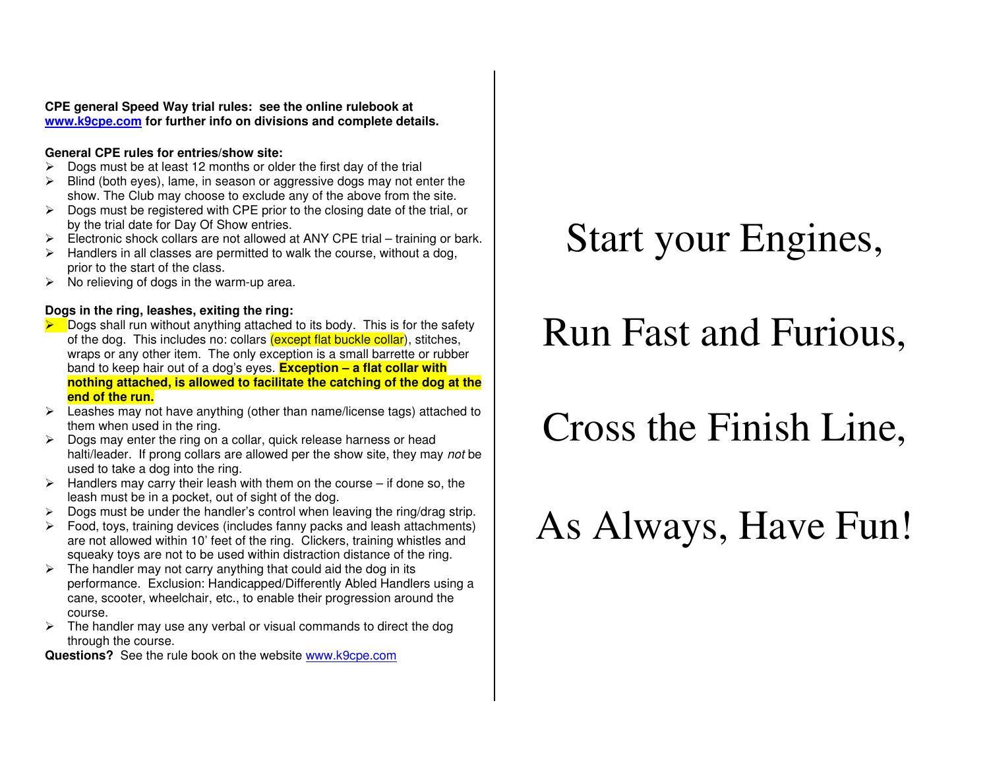**CPE general Speed Way trial rules: see the online rulebook at www.k9cpe.com for further info on divisions and complete details.**

#### **General CPE rules for entries/show site:**

- $\triangleright$  Dogs must be at least 12 months or older the first day of the trial
- $\triangleright$  Blind (both eyes), lame, in season or aggressive dogs may not enter the show. The Club may choose to exclude any of the above from the site.
- $\triangleright$  Dogs must be registered with CPE prior to the closing date of the trial, or by the trial date for Day Of Show entries.
- $\triangleright$  Electronic shock collars are not allowed at ANY CPE trial training or bark.
- $\triangleright$  Handlers in all classes are permitted to walk the course, without a dog, prior to the start of the class.
- $\triangleright$  No relieving of dogs in the warm-up area.

#### **Dogs in the ring, leashes, exiting the ring:**

- $\blacktriangleright$  Dogs shall run without anything attached to its body. This is for the safety of the dog. This includes no: collars (except flat buckle collar), stitches, wraps or any other item. The only exception is a small barrette or rubber band to keep hair out of a dog's eyes. **Exception – a flat collar with nothing attached, is allowed to facilitate the catching of the dog at the end of the run.**
- Leashes may not have anything (other than name/license tags) attached to them when used in the ring.
- $\triangleright$  Dogs may enter the ring on a collar, quick release harness or head halti/leader. If prong collars are allowed per the show site, they may not be used to take a dog into the ring.
- $\triangleright$  Handlers may carry their leash with them on the course if done so, the leash must be in a pocket, out of sight of the dog.
- $\geq$  Dogs must be under the handler's control when leaving the ring/drag strip.
- $\triangleright$  Food, toys, training devices (includes fanny packs and leash attachments) are not allowed within 10' feet of the ring. Clickers, training whistles and squeaky toys are not to be used within distraction distance of the ring.
- $\triangleright$  The handler may not carry anything that could aid the dog in its performance. Exclusion: Handicapped/Differently Abled Handlers using a cane, scooter, wheelchair, etc., to enable their progression around the course.
- $\triangleright$  The handler may use any verbal or visual commands to direct the dog through the course.

**Questions?** See the rule book on the website **www.k9cpe.com** 

## Start your Engines,

## Run Fast and Furious,

# Cross the Finish Line,

# As Always, Have Fun!